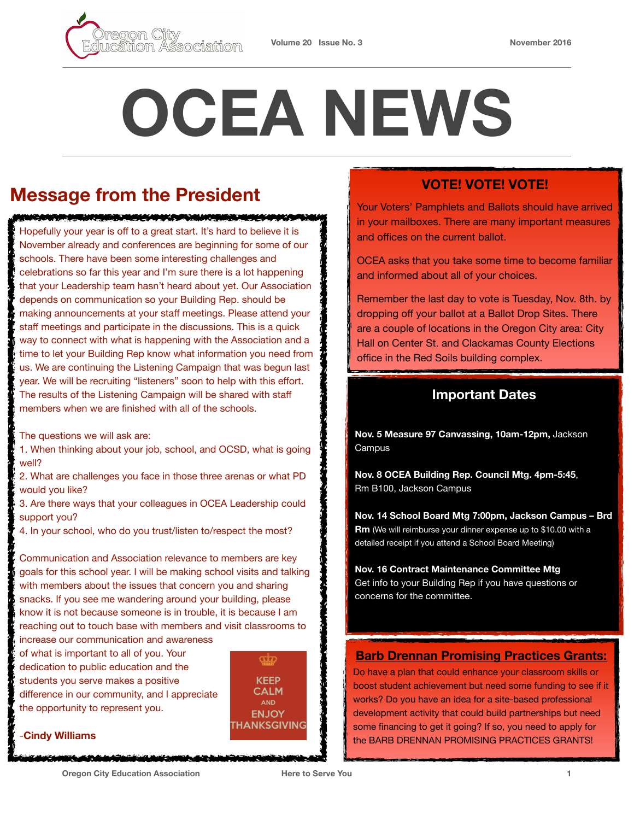

# **OCEA NEWS**

## **Message from the President**

Hopefully your year is off to a great start. It's hard to believe it is November already and conferences are beginning for some of our schools. There have been some interesting challenges and celebrations so far this year and I'm sure there is a lot happening that your Leadership team hasn't heard about yet. Our Association depends on communication so your Building Rep. should be making announcements at your staff meetings. Please attend your staff meetings and participate in the discussions. This is a quick way to connect with what is happening with the Association and a time to let your Building Rep know what information you need from us. We are continuing the Listening Campaign that was begun last year. We will be recruiting "listeners" soon to help with this effort. The results of the Listening Campaign will be shared with staff members when we are finished with all of the schools.

<u>RANG MENTERANGKAN DI SEMENTAH MENERA</u>

The questions we will ask are:

1. When thinking about your job, school, and OCSD, what is going well?

2. What are challenges you face in those three arenas or what PD would you like?

3. Are there ways that your colleagues in OCEA Leadership could support you?

4. In your school, who do you trust/listen to/respect the most?

Communication and Association relevance to members are key goals for this school year. I will be making school visits and talking with members about the issues that concern you and sharing snacks. If you see me wandering around your building, please know it is not because someone is in trouble, it is because I am reaching out to touch base with members and visit classrooms to increase our communication and awareness

of what is important to all of you. Your dedication to public education and the students you serve makes a positive difference in our community, and I appreciate the opportunity to represent you.

**CCCC KEEP CALM** AND **ENJOY THANKSGIVING** 

#### -**Cindy Williams**

**VOTE! VOTE! VOTE!** 

Your Voters' Pamphlets and Ballots should have arrived in your mailboxes. There are many important measures and offices on the current ballot.

OCEA asks that you take some time to become familiar and informed about all of your choices.

Remember the last day to vote is Tuesday, Nov. 8th. by dropping off your ballot at a Ballot Drop Sites. There are a couple of locations in the Oregon City area: City Hall on Center St. and Clackamas County Elections office in the Red Soils building complex.

#### **Important Dates**

**Nov. 5 Measure 97 Canvassing, 10am-12pm,** Jackson Campus

**Nov. 8 OCEA Building Rep. Council Mtg. 4pm-5:45**, Rm B100, Jackson Campus

**Nov. 14 School Board Mtg 7:00pm, Jackson Campus – Brd Rm** (We will reimburse your dinner expense up to \$10.00 with a detailed receipt if you attend a School Board Meeting)

**Nov. 16 Contract Maintenance Committee Mtg**  Get info to your Building Rep if you have questions or concerns for the committee.

#### **[Barb Drennan Promising Practices Grants:](https://www.oregoned.org/our-community/grants)**

Do have a plan that could enhance your classroom skills or boost student achievement but need some funding to see if it works? Do you have an idea for a site-based professional development activity that could build partnerships but need some financing to get it going? If so, you need to apply for the BARB DRENNAN PROMISING PRACTICES GRANTS!